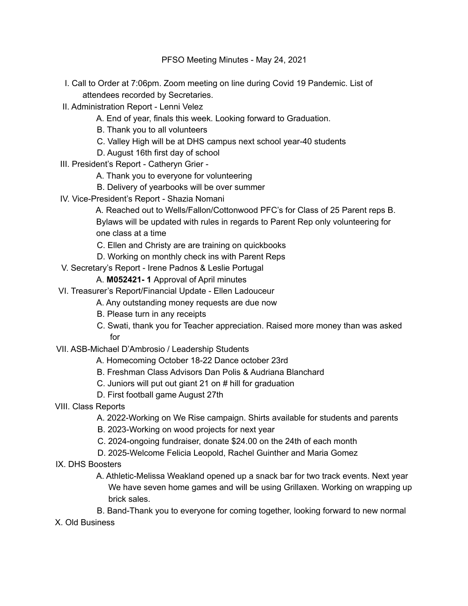- I. Call to Order at 7:06pm. Zoom meeting on line during Covid 19 Pandemic. List of attendees recorded by Secretaries.
- II. Administration Report Lenni Velez
	- A. End of year, finals this week. Looking forward to Graduation.
	- B. Thank you to all volunteers
	- C. Valley High will be at DHS campus next school year-40 students
	- D. August 16th first day of school
- III. President's Report Catheryn Grier
	- A. Thank you to everyone for volunteering
	- B. Delivery of yearbooks will be over summer
- IV. Vice-President's Report Shazia Nomani

A. Reached out to Wells/Fallon/Cottonwood PFC's for Class of 25 Parent reps B. Bylaws will be updated with rules in regards to Parent Rep only volunteering for one class at a time

- C. Ellen and Christy are are training on quickbooks
- D. Working on monthly check ins with Parent Reps
- V. Secretary's Report Irene Padnos & Leslie Portugal
	- A. **M052421- 1** Approval of April minutes
- VI. Treasurer's Report/Financial Update Ellen Ladouceur
	- A. Any outstanding money requests are due now
	- B. Please turn in any receipts
	- C. Swati, thank you for Teacher appreciation. Raised more money than was asked for

VII. ASB-Michael D'Ambrosio / Leadership Students

- A. Homecoming October 18-22 Dance october 23rd
- B. Freshman Class Advisors Dan Polis & Audriana Blanchard
- C. Juniors will put out giant 21 on # hill for graduation
- D. First football game August 27th
- VIII. Class Reports
	- A. 2022-Working on We Rise campaign. Shirts available for students and parents
	- B. 2023-Working on wood projects for next year
	- C. 2024-ongoing fundraiser, donate \$24.00 on the 24th of each month
	- D. 2025-Welcome Felicia Leopold, Rachel Guinther and Maria Gomez
- IX. DHS Boosters
	- A. Athletic-Melissa Weakland opened up a snack bar for two track events. Next year We have seven home games and will be using Grillaxen. Working on wrapping up brick sales.
	- B. Band-Thank you to everyone for coming together, looking forward to new normal
- X. Old Business